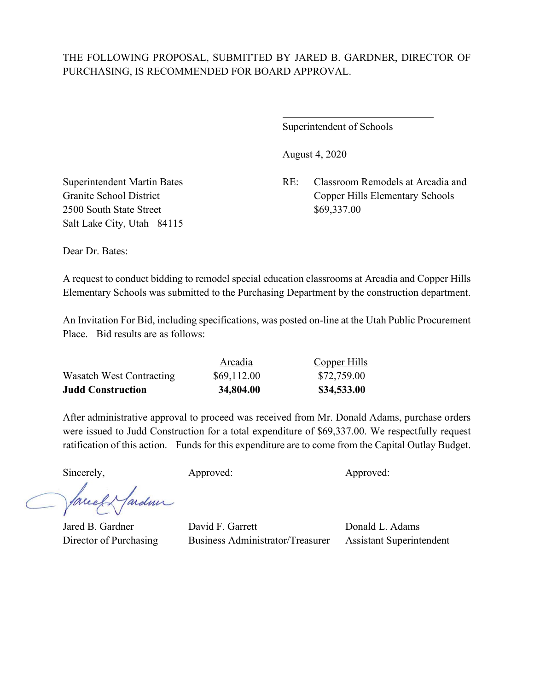$\overline{a}$ 

Superintendent of Schools

August 4, 2020

Superintendent Martin Bates RE: Classroom Remodels at Arcadia and Granite School District Copper Hills Elementary Schools

2500 South State Street \$69,337.00 Salt Lake City, Utah 84115

Dear Dr. Bates:

A request to conduct bidding to remodel special education classrooms at Arcadia and Copper Hills Elementary Schools was submitted to the Purchasing Department by the construction department.

An Invitation For Bid, including specifications, was posted on-line at the Utah Public Procurement Place. Bid results are as follows:

| <b>Judd Construction</b> | 34,804.00   | \$34,533.00  |
|--------------------------|-------------|--------------|
| Wasatch West Contracting | \$69,112.00 | \$72,759.00  |
|                          | Arcadia     | Copper Hills |

After administrative approval to proceed was received from Mr. Donald Adams, purchase orders were issued to Judd Construction for a total expenditure of \$69,337.00. We respectfully request ratification of this action. Funds for this expenditure are to come from the Capital Outlay Budget.

Sincerely, Approved: Approved: Approved: Approved:

ardmi face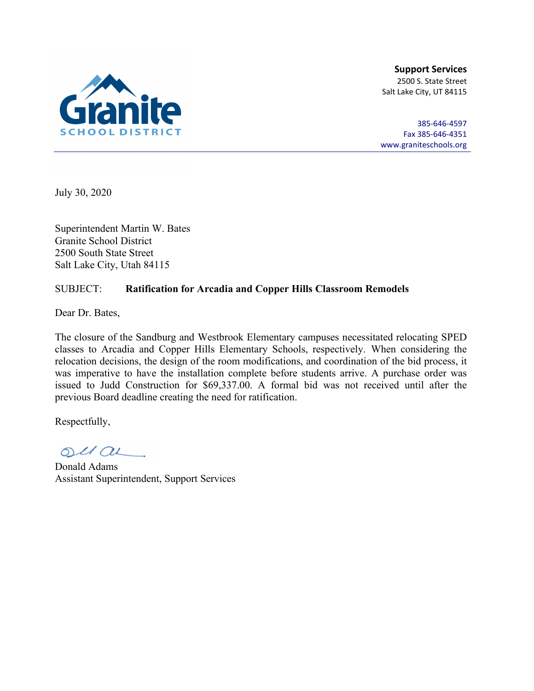

385-646-4597 Fax 385-646-4351 [www.graniteschools.org](http://www.graniteschools.org/)

July 30, 2020

Superintendent Martin W. Bates Granite School District 2500 South State Street Salt Lake City, Utah 84115

### SUBJECT: **Ratification for Arcadia and Copper Hills Classroom Remodels**

Dear Dr. Bates,

The closure of the Sandburg and Westbrook Elementary campuses necessitated relocating SPED classes to Arcadia and Copper Hills Elementary Schools, respectively. When considering the relocation decisions, the design of the room modifications, and coordination of the bid process, it was imperative to have the installation complete before students arrive. A purchase order was issued to Judd Construction for \$69,337.00. A formal bid was not received until after the previous Board deadline creating the need for ratification.

 $OUL/OL$ 

Donald Adams Assistant Superintendent, Support Services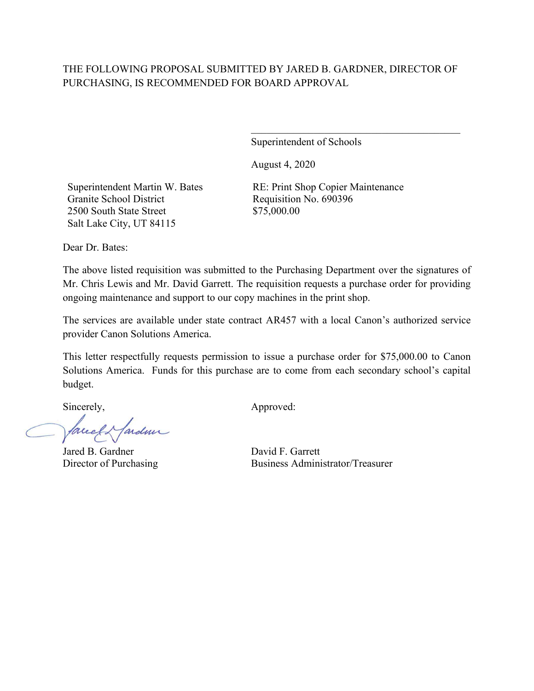Superintendent of Schools

August 4, 2020

Superintendent Martin W. Bates Granite School District 2500 South State Street Salt Lake City, UT 84115

RE: Print Shop Copier Maintenance Requisition No. 690396 \$75,000.00

 $\mathcal{L}_\mathcal{L}$  , which is a set of the set of the set of the set of the set of the set of the set of the set of the set of the set of the set of the set of the set of the set of the set of the set of the set of the set of

Dear Dr. Bates:

The above listed requisition was submitted to the Purchasing Department over the signatures of Mr. Chris Lewis and Mr. David Garrett. The requisition requests a purchase order for providing ongoing maintenance and support to our copy machines in the print shop.

The services are available under state contract AR457 with a local Canon's authorized service provider Canon Solutions America.

This letter respectfully requests permission to issue a purchase order for \$75,000.00 to Canon Solutions America. Funds for this purchase are to come from each secondary school's capital budget.

facely fardun

Jared B. Gardner David F. Garrett

Sincerely,  $\qquad \qquad \text{Approved:}$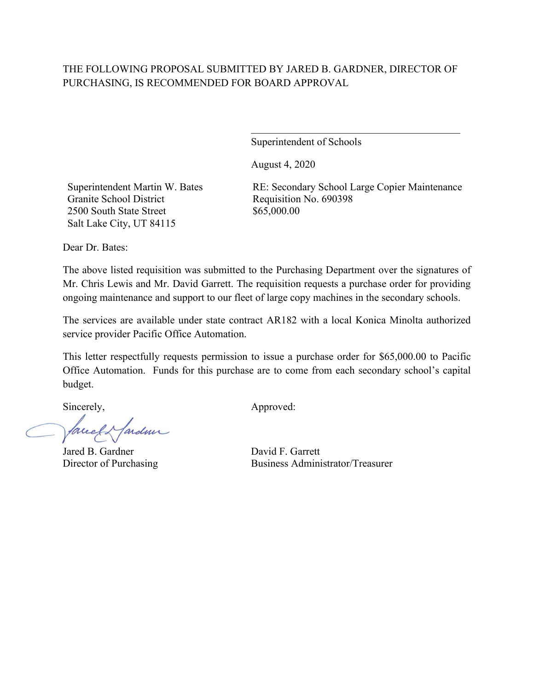Superintendent of Schools

August 4, 2020

Superintendent Martin W. Bates Granite School District 2500 South State Street Salt Lake City, UT 84115

RE: Secondary School Large Copier Maintenance Requisition No. 690398 \$65,000.00

 $\mathcal{L}_\mathcal{L}$  , which is a set of the set of the set of the set of the set of the set of the set of the set of the set of the set of the set of the set of the set of the set of the set of the set of the set of the set of

Dear Dr. Bates:

The above listed requisition was submitted to the Purchasing Department over the signatures of Mr. Chris Lewis and Mr. David Garrett. The requisition requests a purchase order for providing ongoing maintenance and support to our fleet of large copy machines in the secondary schools.

The services are available under state contract AR182 with a local Konica Minolta authorized service provider Pacific Office Automation.

This letter respectfully requests permission to issue a purchase order for \$65,000.00 to Pacific Office Automation. Funds for this purchase are to come from each secondary school's capital budget.

Mardiner facel

Jared B. Gardner David F. Garrett

Sincerely,  $\qquad \qquad \text{Approved:}$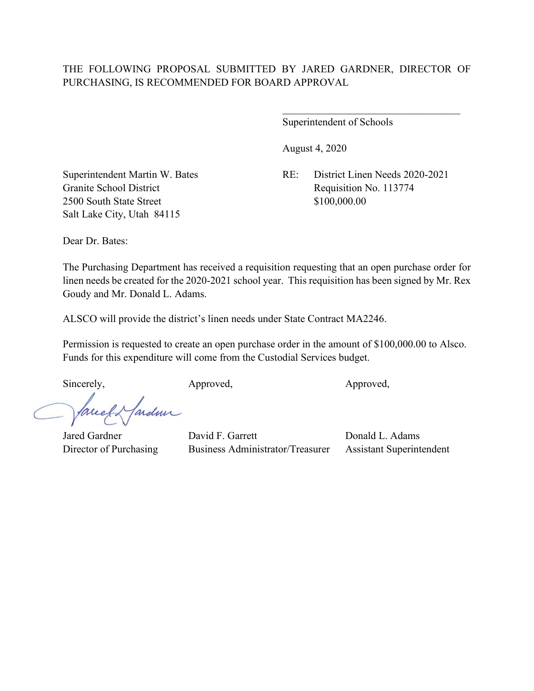Superintendent of Schools

August 4, 2020

Granite School District Requisition No. 113774 2500 South State Street \$100,000.00 Salt Lake City, Utah 84115

Superintendent Martin W. Bates RE: District Linen Needs 2020-2021

 $\overline{\phantom{a}}$ 

Dear Dr. Bates:

The Purchasing Department has received a requisition requesting that an open purchase order for linen needs be created for the 2020-2021 school year. This requisition has been signed by Mr. Rex Goudy and Mr. Donald L. Adams.

ALSCO will provide the district's linen needs under State Contract MA2246.

Permission is requested to create an open purchase order in the amount of \$100,000.00 to Alsco. Funds for this expenditure will come from the Custodial Services budget.

Sincerely, Approved, Approved, Approved,

ardmi facel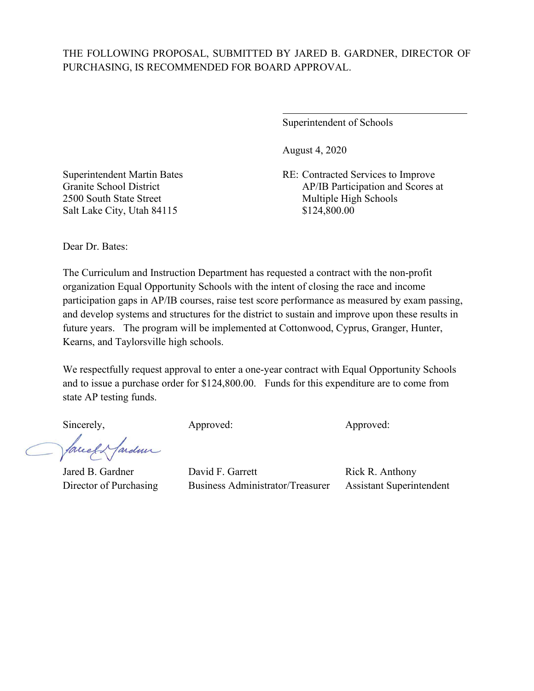$\overline{a}$ 

Superintendent of Schools

August 4, 2020

Superintendent Martin Bates RE: Contracted Services to Improve Granite School District AP/IB Participation and Scores at

2500 South State Street Multiple High Schools Salt Lake City, Utah 84115 \$124,800.00

Dear Dr. Bates:

The Curriculum and Instruction Department has requested a contract with the non-profit organization Equal Opportunity Schools with the intent of closing the race and income participation gaps in AP/IB courses, raise test score performance as measured by exam passing, and develop systems and structures for the district to sustain and improve upon these results in future years. The program will be implemented at Cottonwood, Cyprus, Granger, Hunter, Kearns, and Taylorsville high schools.

We respectfully request approval to enter a one-year contract with Equal Opportunity Schools and to issue a purchase order for \$124,800.00. Funds for this expenditure are to come from state AP testing funds.

Mardiner facel

Sincerely, Approved: Approved: Approved: Approved: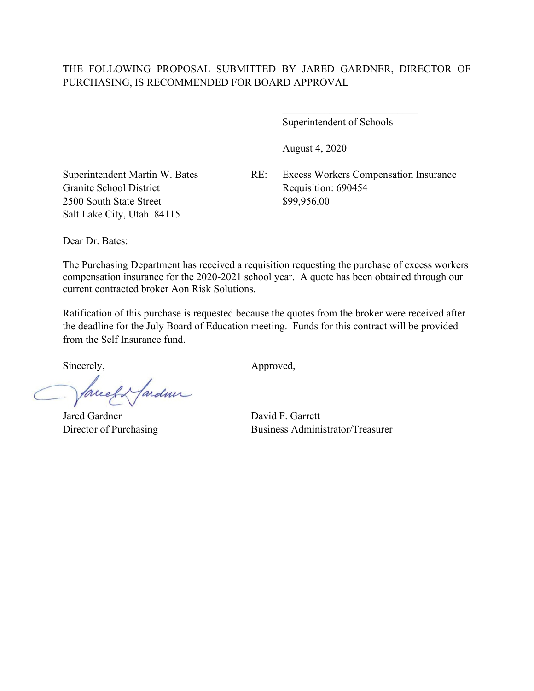Superintendent of Schools

\_\_\_\_\_\_\_\_\_\_\_\_\_\_\_\_\_\_\_\_\_\_\_\_\_\_

August 4, 2020

Granite School District Requisition: 690454 2500 South State Street \$99,956.00 Salt Lake City, Utah 84115

Superintendent Martin W. Bates RE: Excess Workers Compensation Insurance

Dear Dr. Bates:

The Purchasing Department has received a requisition requesting the purchase of excess workers compensation insurance for the 2020-2021 school year. A quote has been obtained through our current contracted broker Aon Risk Solutions.

Ratification of this purchase is requested because the quotes from the broker were received after the deadline for the July Board of Education meeting. Funds for this contract will be provided from the Self Insurance fund.

facely farden

Jared Gardner David F. Garrett

Sincerely, Approved,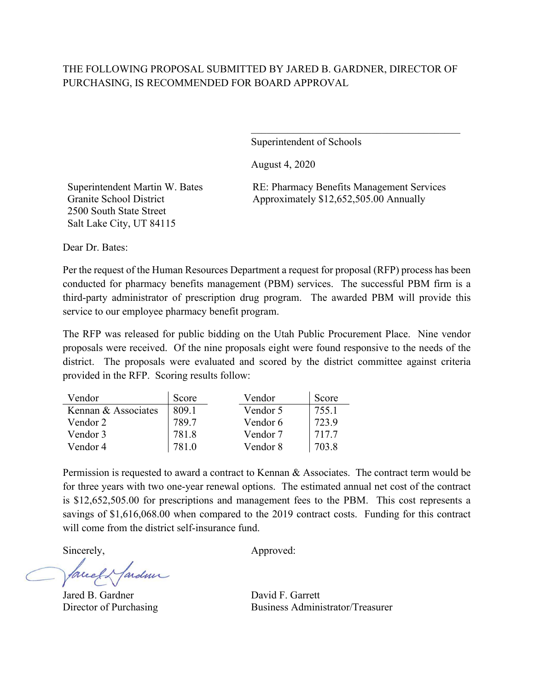Superintendent of Schools

August 4, 2020

Superintendent Martin W. Bates Granite School District 2500 South State Street Salt Lake City, UT 84115

RE: Pharmacy Benefits Management Services Approximately \$12,652,505.00 Annually

 $\mathcal{L}_\mathcal{L}$  , which is a set of the set of the set of the set of the set of the set of the set of the set of the set of the set of the set of the set of the set of the set of the set of the set of the set of the set of

Dear Dr. Bates:

Per the request of the Human Resources Department a request for proposal (RFP) process has been conducted for pharmacy benefits management (PBM) services. The successful PBM firm is a third-party administrator of prescription drug program. The awarded PBM will provide this service to our employee pharmacy benefit program.

The RFP was released for public bidding on the Utah Public Procurement Place. Nine vendor proposals were received. Of the nine proposals eight were found responsive to the needs of the district. The proposals were evaluated and scored by the district committee against criteria provided in the RFP. Scoring results follow:

| Vendor              | Score | Vendor   | Score |
|---------------------|-------|----------|-------|
| Kennan & Associates | 809.1 | Vendor 5 | 755.1 |
| Vendor 2            | 789.7 | Vendor 6 | 723.9 |
| Vendor 3            | 781.8 | Vendor 7 | 717.7 |
| Vendor 4            |       | Vendor 8 | 703.8 |

Permission is requested to award a contract to Kennan & Associates. The contract term would be for three years with two one-year renewal options. The estimated annual net cost of the contract is \$12,652,505.00 for prescriptions and management fees to the PBM. This cost represents a savings of \$1,616,068.00 when compared to the 2019 contract costs. Funding for this contract will come from the district self-insurance fund.

Jardin face

Jared B. Gardner David F. Garrett

Sincerely, Approved: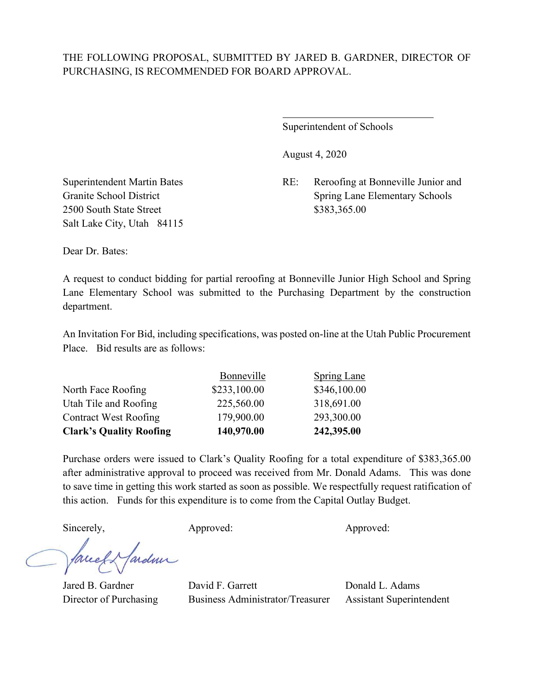$\overline{a}$ 

Superintendent of Schools

August 4, 2020

Superintendent Martin Bates RE: Reroofing at Bonneville Junior and Granite School District Spring Lane Elementary Schools

2500 South State Street \$383,365.00 Salt Lake City, Utah 84115

Dear Dr. Bates:

A request to conduct bidding for partial reroofing at Bonneville Junior High School and Spring Lane Elementary School was submitted to the Purchasing Department by the construction department.

An Invitation For Bid, including specifications, was posted on-line at the Utah Public Procurement Place. Bid results are as follows:

| <b>Clark's Quality Roofing</b> | 140,970.00   | 242,395.00         |
|--------------------------------|--------------|--------------------|
| <b>Contract West Roofing</b>   | 179,900.00   | 293,300.00         |
| Utah Tile and Roofing          | 225,560.00   | 318,691.00         |
| North Face Roofing             | \$233,100.00 | \$346,100.00       |
|                                | Bonneville   | <b>Spring Lane</b> |

Purchase orders were issued to Clark's Quality Roofing for a total expenditure of \$383,365.00 after administrative approval to proceed was received from Mr. Donald Adams. This was done to save time in getting this work started as soon as possible. We respectfully request ratification of this action. Funds for this expenditure is to come from the Capital Outlay Budget.

Sincerely, Approved: Approved: Approved:

ardmi Jaccel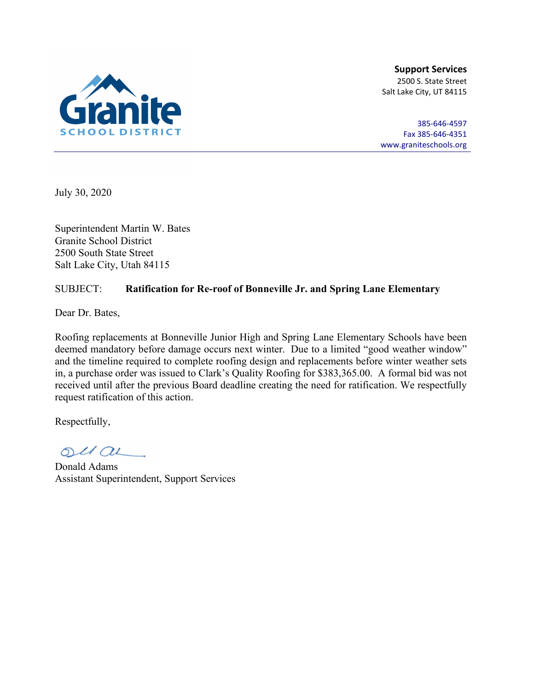

385-646-4597 Fax 385-646-4351 [www.graniteschools.org](http://www.graniteschools.org/)

July 30, 2020

Superintendent Martin W. Bates Granite School District 2500 South State Street Salt Lake City, Utah 84115

### SUBJECT: **Ratification for Re-roof of Bonneville Jr. and Spring Lane Elementary**

Dear Dr. Bates,

Roofing replacements at Bonneville Junior High and Spring Lane Elementary Schools have been deemed mandatory before damage occurs next winter. Due to a limited "good weather window" and the timeline required to complete roofing design and replacements before winter weather sets in, a purchase order was issued to Clark's Quality Roofing for \$383,365.00. A formal bid was not received until after the previous Board deadline creating the need for ratification. We respectfully request ratification of this action.

 $OUL/OL$ 

Donald Adams Assistant Superintendent, Support Services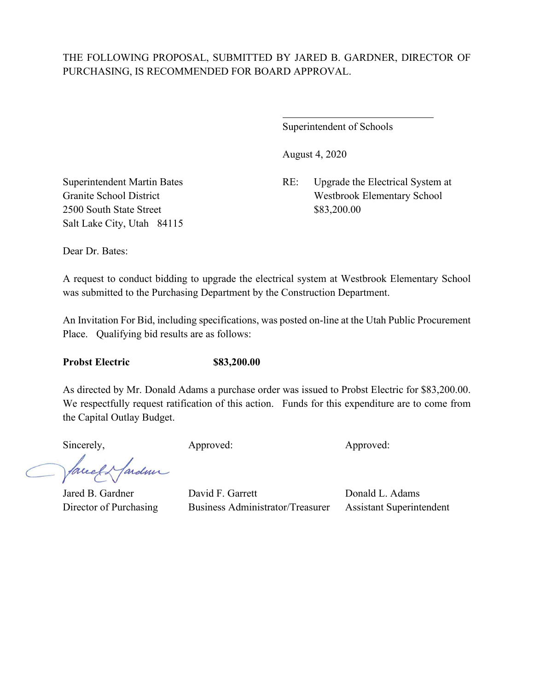$\overline{a}$ 

Superintendent of Schools

August 4, 2020

Superintendent Martin Bates RE: Upgrade the Electrical System at Granite School District Westbrook Elementary School

2500 South State Street \$83,200.00 Salt Lake City, Utah 84115

Dear Dr. Bates:

A request to conduct bidding to upgrade the electrical system at Westbrook Elementary School was submitted to the Purchasing Department by the Construction Department.

An Invitation For Bid, including specifications, was posted on-line at the Utah Public Procurement Place. Qualifying bid results are as follows:

**Probst Electric \$83,200.00**

As directed by Mr. Donald Adams a purchase order was issued to Probst Electric for \$83,200.00. We respectfully request ratification of this action. Funds for this expenditure are to come from the Capital Outlay Budget.

Sincerely, Approved: Approved: Approved: Approved:

facely farder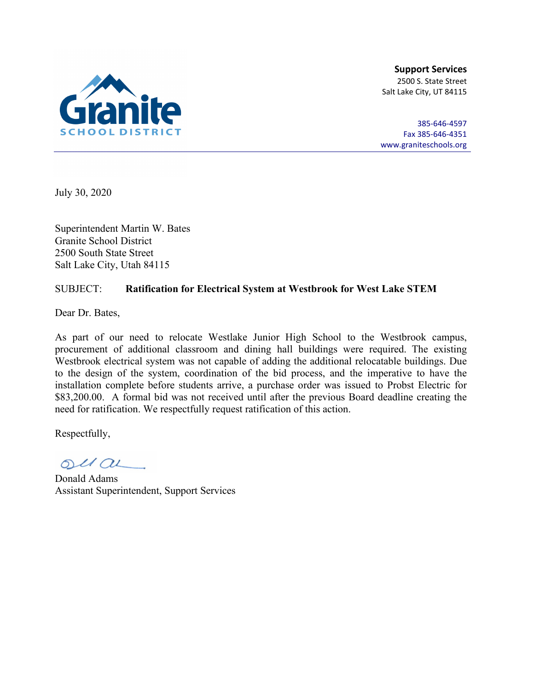

385-646-4597 Fax 385-646-4351 [www.graniteschools.org](http://www.graniteschools.org/)

July 30, 2020

Superintendent Martin W. Bates Granite School District 2500 South State Street Salt Lake City, Utah 84115

#### SUBJECT: **Ratification for Electrical System at Westbrook for West Lake STEM**

Dear Dr. Bates,

As part of our need to relocate Westlake Junior High School to the Westbrook campus, procurement of additional classroom and dining hall buildings were required. The existing Westbrook electrical system was not capable of adding the additional relocatable buildings. Due to the design of the system, coordination of the bid process, and the imperative to have the installation complete before students arrive, a purchase order was issued to Probst Electric for \$83,200.00. A formal bid was not received until after the previous Board deadline creating the need for ratification. We respectfully request ratification of this action.

 $OUL/OL$ 

Donald Adams Assistant Superintendent, Support Services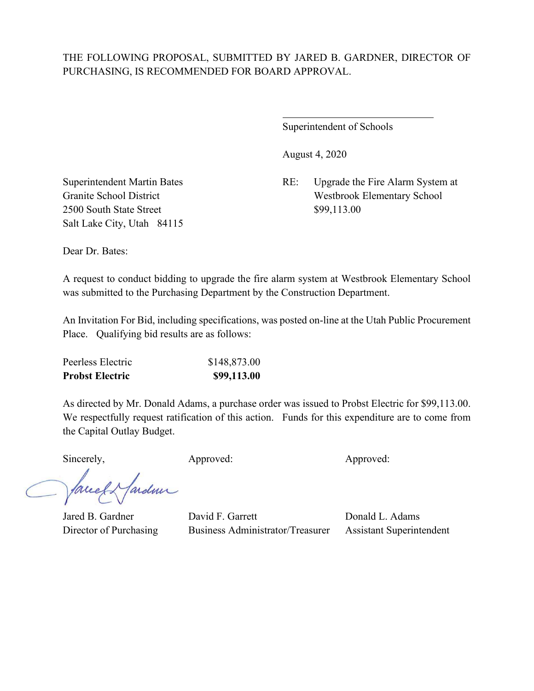$\overline{a}$ 

Superintendent of Schools

August 4, 2020

Superintendent Martin Bates RE: Upgrade the Fire Alarm System at Granite School District Westbrook Elementary School

2500 South State Street \$99,113.00 Salt Lake City, Utah 84115

Dear Dr. Bates:

A request to conduct bidding to upgrade the fire alarm system at Westbrook Elementary School was submitted to the Purchasing Department by the Construction Department.

An Invitation For Bid, including specifications, was posted on-line at the Utah Public Procurement Place. Qualifying bid results are as follows:

| <b>Probst Electric</b> | \$99,113.00  |
|------------------------|--------------|
| Peerless Electric      | \$148,873.00 |

As directed by Mr. Donald Adams, a purchase order was issued to Probst Electric for \$99,113.00. We respectfully request ratification of this action. Funds for this expenditure are to come from the Capital Outlay Budget.

Sincerely, Approved: Approved: Approved: Approved:

facely fardme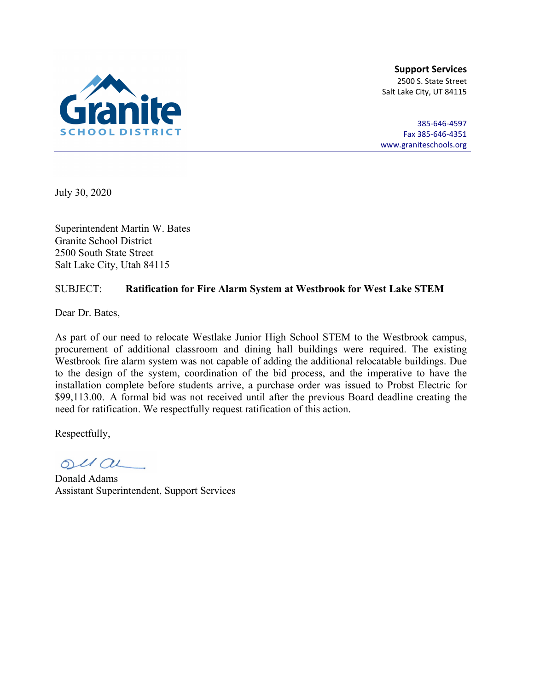

385-646-4597 Fax 385-646-4351 [www.graniteschools.org](http://www.graniteschools.org/)

July 30, 2020

Superintendent Martin W. Bates Granite School District 2500 South State Street Salt Lake City, Utah 84115

#### SUBJECT: **Ratification for Fire Alarm System at Westbrook for West Lake STEM**

Dear Dr. Bates,

As part of our need to relocate Westlake Junior High School STEM to the Westbrook campus, procurement of additional classroom and dining hall buildings were required. The existing Westbrook fire alarm system was not capable of adding the additional relocatable buildings. Due to the design of the system, coordination of the bid process, and the imperative to have the installation complete before students arrive, a purchase order was issued to Probst Electric for \$99,113.00. A formal bid was not received until after the previous Board deadline creating the need for ratification. We respectfully request ratification of this action.

 $OUL/OL$ 

Donald Adams Assistant Superintendent, Support Services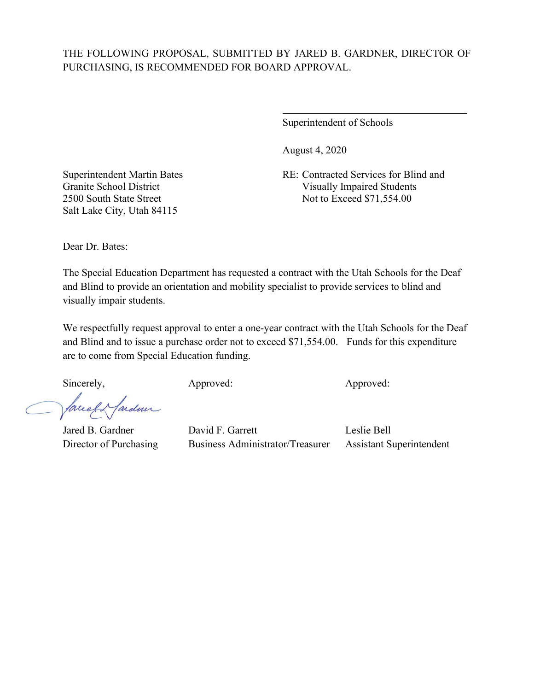$\overline{a}$ 

Superintendent of Schools

August 4, 2020

Superintendent Martin Bates RE: Contracted Services for Blind and Granite School District Visually Impaired Students 2500 South State Street Not to Exceed \$71,554.00

Salt Lake City, Utah 84115

Dear Dr. Bates:

The Special Education Department has requested a contract with the Utah Schools for the Deaf and Blind to provide an orientation and mobility specialist to provide services to blind and visually impair students.

We respectfully request approval to enter a one-year contract with the Utah Schools for the Deaf and Blind and to issue a purchase order not to exceed \$71,554.00. Funds for this expenditure are to come from Special Education funding.

Sincerely, Approved: Approved: Approved: Approved:

ardmi